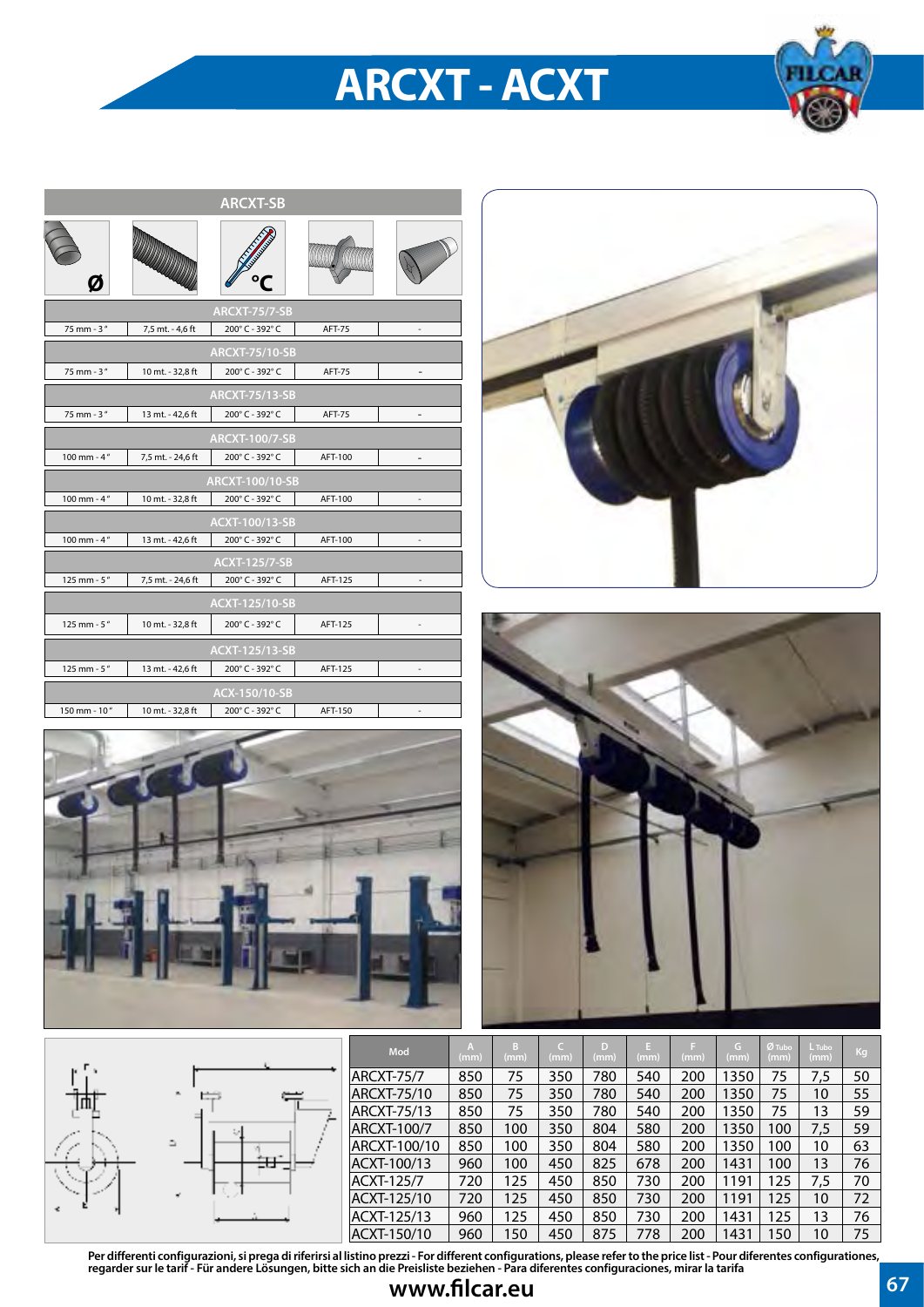## **ARCXT - ACXT**



| <b>ARCXT-SB</b> |                   |                        |               |                              |  |  |  |  |  |
|-----------------|-------------------|------------------------|---------------|------------------------------|--|--|--|--|--|
|                 |                   |                        |               |                              |  |  |  |  |  |
|                 |                   | <b>ARCXT-75/7-SB</b>   |               |                              |  |  |  |  |  |
| 75 mm - 3"      | 7,5 mt. - 4,6 ft  | 200°C - 392°C          | <b>AFT-75</b> | $\qquad \qquad \blacksquare$ |  |  |  |  |  |
|                 |                   | <b>ARCXT-75/10-SB</b>  |               |                              |  |  |  |  |  |
| 75 mm - 3"      | 10 mt. - 32,8 ft  | 200°C - 392°C          | <b>AFT-75</b> | -                            |  |  |  |  |  |
|                 |                   | <b>ARCXT-75/13-SB</b>  |               |                              |  |  |  |  |  |
| $75$ mm - $3''$ | 13 mt. - 42,6 ft  | 200°C - 392°C          | <b>AFT-75</b> | $\overline{\phantom{0}}$     |  |  |  |  |  |
|                 |                   | <b>ARCXT-100/7-SB</b>  |               |                              |  |  |  |  |  |
| 100 mm - $4''$  | 7,5 mt. - 24,6 ft | 200°C - 392°C          | AFT-100       | -                            |  |  |  |  |  |
|                 |                   | <b>ARCXT-100/10-SB</b> |               |                              |  |  |  |  |  |
| 100 mm - $4''$  | 10 mt. - 32,8 ft  | 200°C - 392°C          | AFT-100       | $\qquad \qquad \blacksquare$ |  |  |  |  |  |
|                 |                   | ACXT-100/13-SB         |               |                              |  |  |  |  |  |
| 100 mm - $4''$  | 13 mt. - 42,6 ft  | 200°C - 392°C          | AFT-100       | $\overline{\phantom{a}}$     |  |  |  |  |  |
|                 |                   | <b>ACXT-125/7-SB</b>   |               |                              |  |  |  |  |  |
| 125 mm - 5"     | 7,5 mt. - 24,6 ft | 200°C - 392°C          | AFT-125       | ÷                            |  |  |  |  |  |
|                 |                   | <b>ACXT-125/10-SB</b>  |               |                              |  |  |  |  |  |
| 125 mm - 5"     | 10 mt. - 32,8 ft  | 200°C - 392°C          | AFT-125       | $\overline{\phantom{m}}$     |  |  |  |  |  |
|                 |                   | <b>ACXT-125/13-SB</b>  |               |                              |  |  |  |  |  |
| 125 mm - 5"     | 13 mt. - 42,6 ft  | 200°C - 392°C          | AFT-125       |                              |  |  |  |  |  |
|                 |                   | ACX-150/10-SB          |               |                              |  |  |  |  |  |
| 150 mm - 10"    | 10 mt. - 32,8 ft  | 200°C - 392°C          | AFT-150       |                              |  |  |  |  |  |







|                 |          | Mod               | (mm) | B<br>(mm) | c<br>(mm) | D<br>(mm) | E.<br>(mm) | (mm) | G.<br>(mm) | $Ø$ Tubo<br>(mm) | L Tubo<br>(mm) | Kg |
|-----------------|----------|-------------------|------|-----------|-----------|-----------|------------|------|------------|------------------|----------------|----|
|                 |          | <b>ARCXT-75/7</b> | 850  | 75        | 350       | 780       | 540        | 200  | 1350       | 75               | 7,5            | 50 |
|                 | 一        | ARCXT-75/10       | 850  | 75        | 350       | 780       | 540        | 200  | 1350       | 75               | 10             | 55 |
| 吨               |          | ARCXT-75/13       | 850  | 75        | 350       | 780       | 540        | 200  | 1350       | 75               | 13             | 59 |
|                 |          | ARCXT-100/7       | 850  | 100       | 350       | 804       | 580        | 200  | 1350       | 100              | 7,5            | 59 |
|                 | ۵        | ARCXT-100/10      | 850  | 100       | 350       | 804       | 580        | 200  | 1350       | 100              | 10             | 63 |
|                 | ÷п"<br>ᇤ | ACXT-100/13       | 960  | 100       | 450       | 825       | 678        | 200  | 1431       | 100              | 13             | 76 |
|                 |          | ACXT-125/7        | 720  | 125       | 450       | 850       | 730        | 200  | 1191       | 125              | 7,5            | 70 |
| <b>THE REAL</b> |          | ACXT-125/10       | 720  | 125       | 450       | 850       | 730        | 200  | 1191       | 125              | 10             | 72 |
|                 |          | ACXT-125/13       | 960  | 125       | 450       | 850       | 730        | 200  | 1431       | 125              | 13             | 76 |
|                 |          | ACXT-150/10       | 960  | 150       | 450       | 875       | 778        | 200  | 1431       | 150              | 10             | 75 |

**Per differenti configurazioni, si prega di riferirsi al listino prezzi - For different configurations, please refer to the price list - Pour diferentes configurationes, regarder sur le tarif - Für andere Lösungen, bitte sich an die Preisliste beziehen - Para diferentes configuraciones, mirar la tarifa**